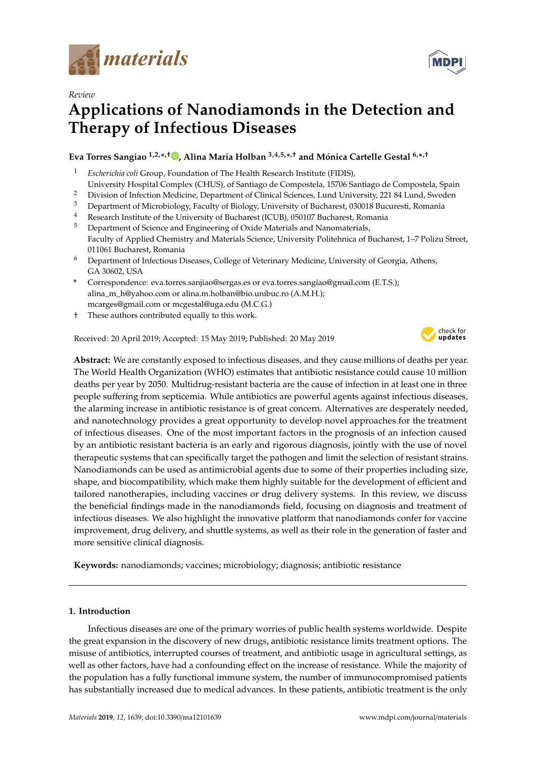

*Review*

# **Applications of Nanodiamonds in the Detection and Therapy of Infectious Diseases**

# **Eva Torres Sangiao 1,2,\* ,**† **[,](https://orcid.org/0000-0003-1227-6437) Alina Maria Holban 3,4,5,\* ,**† **and Mónica Cartelle Gestal 6,\* ,**†

- <sup>1</sup> *Escherichia coli* Group, Foundation of The Health Research Institute (FIDIS),
- University Hospital Complex (CHUS), of Santiago de Compostela, 15706 Santiago de Compostela, Spain
- <sup>2</sup> Division of Infection Medicine, Department of Clinical Sciences, Lund University, 221 84 Lund, Sweden<br><sup>3</sup> Department of Microbiology, Feculty of Biology, University of Bucharect, 020018 Bucurecti, Pemania
- <sup>3</sup> Department of Microbiology, Faculty of Biology, University of Bucharest, 030018 Bucuresti, Romania
- <sup>4</sup> Research Institute of the University of Bucharest (ICUB), 050107 Bucharest, Romania
- <sup>5</sup> Department of Science and Engineering of Oxide Materials and Nanomaterials, Faculty of Applied Chemistry and Materials Science, University Politehnica of Bucharest, 1–7 Polizu Street, 011061 Bucharest, Romania
- <sup>6</sup> Department of Infectious Diseases, College of Veterinary Medicine, University of Georgia, Athens, GA 30602, USA
- **\*** Correspondence: eva.torres.sanjiao@sergas.es or eva.torres.sangiao@gmail.com (E.T.S.); alina\_m\_h@yahoo.com or alina.m.holban@bio.unibuc.ro (A.M.H.); mcarges@gmail.com or mcgestal@uga.edu (M.C.G.)
- † These authors contributed equally to this work.

Received: 20 April 2019; Accepted: 15 May 2019; Published: 20 May 2019



**MDPI** 

**Abstract:** We are constantly exposed to infectious diseases, and they cause millions of deaths per year. The World Health Organization (WHO) estimates that antibiotic resistance could cause 10 million deaths per year by 2050. Multidrug-resistant bacteria are the cause of infection in at least one in three people suffering from septicemia. While antibiotics are powerful agents against infectious diseases, the alarming increase in antibiotic resistance is of great concern. Alternatives are desperately needed, and nanotechnology provides a great opportunity to develop novel approaches for the treatment of infectious diseases. One of the most important factors in the prognosis of an infection caused by an antibiotic resistant bacteria is an early and rigorous diagnosis, jointly with the use of novel therapeutic systems that can specifically target the pathogen and limit the selection of resistant strains. Nanodiamonds can be used as antimicrobial agents due to some of their properties including size, shape, and biocompatibility, which make them highly suitable for the development of efficient and tailored nanotherapies, including vaccines or drug delivery systems. In this review, we discuss the beneficial findings made in the nanodiamonds field, focusing on diagnosis and treatment of infectious diseases. We also highlight the innovative platform that nanodiamonds confer for vaccine improvement, drug delivery, and shuttle systems, as well as their role in the generation of faster and more sensitive clinical diagnosis.

**Keywords:** nanodiamonds; vaccines; microbiology; diagnosis; antibiotic resistance

# **1. Introduction**

Infectious diseases are one of the primary worries of public health systems worldwide. Despite the great expansion in the discovery of new drugs, antibiotic resistance limits treatment options. The misuse of antibiotics, interrupted courses of treatment, and antibiotic usage in agricultural settings, as well as other factors, have had a confounding effect on the increase of resistance. While the majority of the population has a fully functional immune system, the number of immunocompromised patients has substantially increased due to medical advances. In these patients, antibiotic treatment is the only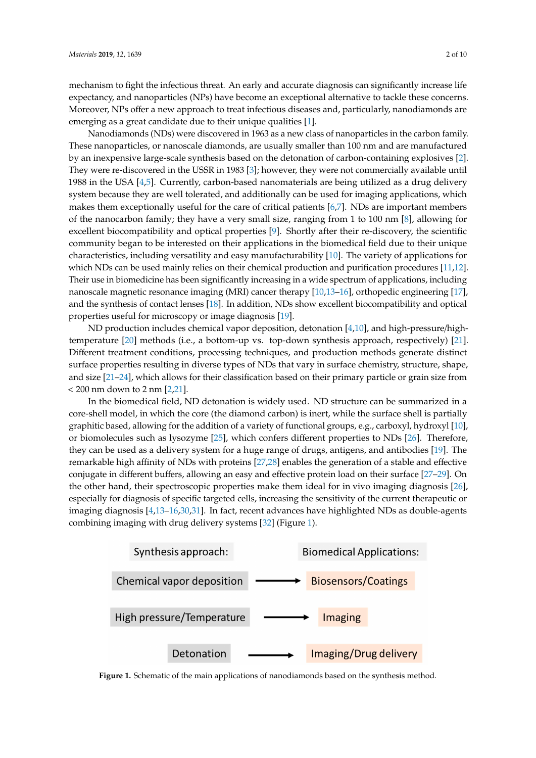mechanism to fight the infectious threat. An early and accurate diagnosis can significantly increase life expectancy, and nanoparticles (NPs) have become an exceptional alternative to tackle these concerns. Moreover, NPs offer a new approach to treat infectious diseases and, particularly, nanodiamonds are emerging as a great candidate due to their unique qualities [\[1\]](#page-6-0).

Nanodiamonds (NDs) were discovered in 1963 as a new class of nanoparticles in the carbon family. These nanoparticles, or nanoscale diamonds, are usually smaller than 100 nm and are manufactured by an inexpensive large-scale synthesis based on the detonation of carbon-containing explosives [\[2\]](#page-6-1). They were re-discovered in the USSR in 1983 [\[3\]](#page-6-2); however, they were not commercially available until 1988 in the USA [\[4](#page-6-3)[,5\]](#page-6-4). Currently, carbon-based nanomaterials are being utilized as a drug delivery system because they are well tolerated, and additionally can be used for imaging applications, which makes them exceptionally useful for the care of critical patients  $[6,7]$  $[6,7]$ . NDs are important members of the nanocarbon family; they have a very small size, ranging from 1 to 100 nm [\[8\]](#page-6-7), allowing for excellent biocompatibility and optical properties [\[9\]](#page-6-8). Shortly after their re-discovery, the scientific community began to be interested on their applications in the biomedical field due to their unique characteristics, including versatility and easy manufacturability  $[10]$ . The variety of applications for which NDs can be used mainly relies on their chemical production and purification procedures [\[11](#page-6-10)[,12\]](#page-6-11). Their use in biomedicine has been significantly increasing in a wide spectrum of applications, including nanoscale magnetic resonance imaging (MRI) cancer therapy  $\left[10,13\text{--}16\right]$  $\left[10,13\text{--}16\right]$  $\left[10,13\text{--}16\right]$  $\left[10,13\text{--}16\right]$ , orthopedic engineering  $\left[17\right]$ , and the synthesis of contact lenses  $[18]$ . In addition, NDs show excellent biocompatibility and optical properties useful for microscopy or image diagnosis [\[19\]](#page-7-2).  $\sum_{i=1}^n \sum_{j=1}^n$  called  $\sum_{i=1}^n \sum_{j=1}^n$  can be exactly as a great candidate due to the  $\sum_{i=1}^n \sum_{j=1}^n \sum_{j=1}^n \sum_{j=1}^n \sum_{j=1}^n \sum_{j=1}^n \sum_{j=1}^n \sum_{j=1}^n \sum_{j=1}^n \sum_{j=1}^n \sum_{j=1}^n \sum_{j=1}^n \sum_{j=1}^n \sum_{j=1}$ explosively were re-discovered in the USSR in the USSR in the USSR in the USSR in 1983 were not the USSR in 1983 were not the USSR in the USSR in 1983 were not the USSR in 1983 were not the USSR in 1983 were not the USSR i to the 1 nm and the 1 nm and optimization biocompatibility and optical properties [9]. Shortly after the inter-

ND production includes chemical vapor deposition, detonation [\[4,](#page-6-3)[10\]](#page-6-9), and high-pressure/high-temperature [\[20\]](#page-7-3) methods (i.e., a bottom-up vs. top-down synthesis approach, respectively) [\[21\]](#page-7-4). Different treatment conditions, processing techniques, and production methods generate distinct surface properties resulting in diverse types of NDs that vary in surface chemistry, structure, shape, and size  $[21-24]$  $[21-24]$ , which allows for their classification based on their primary particle or grain size from  $<$  200 nm down to 2 nm [\[2,](#page-6-1)[21\]](#page-7-4).  $s_{\text{reduced}}$  metalled chemicative reposition, according  $\frac{1}{I}$ ,  $\frac{1}{I}$ ,  $\frac{1}{I}$ ,  $\frac{1}{I}$  and  $\frac{1}{I}$   $\frac{1}{I}$  $\frac{21}{21}$  methods (i.e., abortonication based on their primary particle of grant

In the biomedical field, ND detonation is widely used. ND structure can be summarized in a core-shell model, in which the core (the diamond carbon) is inert, while the surface shell is partially graphitic based, allowing for the addition of a variety of functional groups, e.g., carboxyl, hydroxyl [\[10\]](#page-6-9), or biomolecules such as lysozyme [\[25\]](#page-7-6), which confers different properties to NDs [\[26\]](#page-7-7). Therefore, they can be used as a delivery system for a huge range of drugs, antigens, and antibodies [\[19\]](#page-7-2). The remarkable high affinity of NDs with proteins [\[27,](#page-7-8)[28\]](#page-7-9) enables the generation of a stable and effective conjugate in different buffers, allowing an easy and effective protein load on their surface [\[27](#page-7-8)[–29\]](#page-7-10). On the other hand, their spectroscopic properties make them ideal for in vivo imaging diagnosis  $[26]$ , especially for diagnosis of specific targeted cells, increasing the sensitivity of the current therapeutic or imaging diagnosis [\[4](#page-6-3),13-[16](#page-6-13)[,30](#page-7-11)[,31\]](#page-7-12). In fact, recent advances have highlighted NDs as double-agents combining imaging with drug delivery systems [\[32\]](#page-7-13) (Figure [1\)](#page-1-0).  $I<sub>1</sub>$  and with  $I<sub>2</sub>$  for the detenation of a variety of renetation groups, e.g., earlowly, hydrogeneous In american barrely, anowing an easy and encenve protein load on their standed [27,28].  $\beta$  maging with drug defivery systems  $[32]$  (Figure 1).

<span id="page-1-0"></span>

**Figure 1. Figure 1.**  Schematic of the main applications of nanodiamonds based on the synthesis method. Schematic of the main applications of nanodiamonds based on the synthesis method.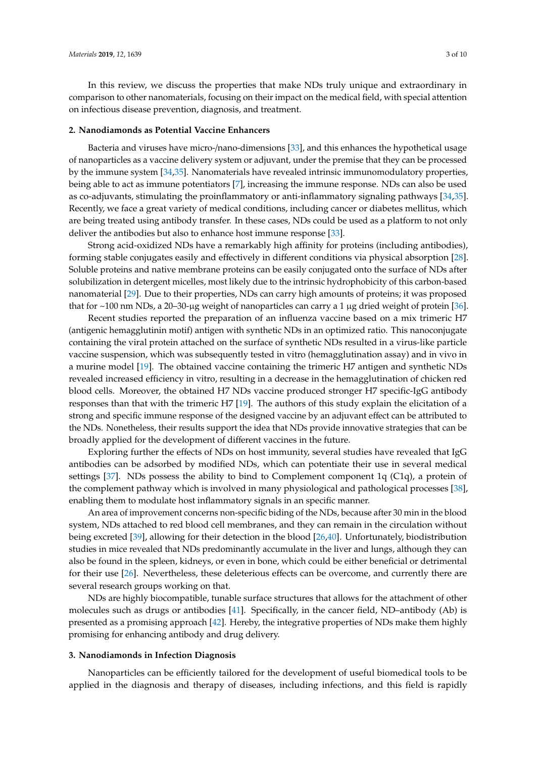In this review, we discuss the properties that make NDs truly unique and extraordinary in comparison to other nanomaterials, focusing on their impact on the medical field, with special attention on infectious disease prevention, diagnosis, and treatment.

#### **2. Nanodiamonds as Potential Vaccine Enhancers**

Bacteria and viruses have micro-/nano-dimensions [\[33\]](#page-7-14), and this enhances the hypothetical usage of nanoparticles as a vaccine delivery system or adjuvant, under the premise that they can be processed by the immune system [\[34](#page-7-15)[,35\]](#page-7-16). Nanomaterials have revealed intrinsic immunomodulatory properties, being able to act as immune potentiators [\[7\]](#page-6-6), increasing the immune response. NDs can also be used as co-adjuvants, stimulating the proinflammatory or anti-inflammatory signaling pathways [\[34,](#page-7-15)[35\]](#page-7-16). Recently, we face a great variety of medical conditions, including cancer or diabetes mellitus, which are being treated using antibody transfer. In these cases, NDs could be used as a platform to not only deliver the antibodies but also to enhance host immune response [\[33\]](#page-7-14).

Strong acid-oxidized NDs have a remarkably high affinity for proteins (including antibodies), forming stable conjugates easily and effectively in different conditions via physical absorption [\[28\]](#page-7-9). Soluble proteins and native membrane proteins can be easily conjugated onto the surface of NDs after solubilization in detergent micelles, most likely due to the intrinsic hydrophobicity of this carbon-based nanomaterial [\[29\]](#page-7-10). Due to their properties, NDs can carry high amounts of proteins; it was proposed that for  $\sim$ 100 nm NDs, a 20–30-µg weight of nanoparticles can carry a 1 µg dried weight of protein [\[36\]](#page-7-17).

Recent studies reported the preparation of an influenza vaccine based on a mix trimeric H7 (antigenic hemagglutinin motif) antigen with synthetic NDs in an optimized ratio. This nanoconjugate containing the viral protein attached on the surface of synthetic NDs resulted in a virus-like particle vaccine suspension, which was subsequently tested in vitro (hemagglutination assay) and in vivo in a murine model [\[19\]](#page-7-2). The obtained vaccine containing the trimeric H7 antigen and synthetic NDs revealed increased efficiency in vitro, resulting in a decrease in the hemagglutination of chicken red blood cells. Moreover, the obtained H7 NDs vaccine produced stronger H7 specific-IgG antibody responses than that with the trimeric H7 [\[19\]](#page-7-2). The authors of this study explain the elicitation of a strong and specific immune response of the designed vaccine by an adjuvant effect can be attributed to the NDs. Nonetheless, their results support the idea that NDs provide innovative strategies that can be broadly applied for the development of different vaccines in the future.

Exploring further the effects of NDs on host immunity, several studies have revealed that IgG antibodies can be adsorbed by modified NDs, which can potentiate their use in several medical settings [\[37\]](#page-7-18). NDs possess the ability to bind to Complement component 1q (C1q), a protein of the complement pathway which is involved in many physiological and pathological processes [\[38\]](#page-8-0), enabling them to modulate host inflammatory signals in an specific manner.

An area of improvement concerns non-specific biding of the NDs, because after 30 min in the blood system, NDs attached to red blood cell membranes, and they can remain in the circulation without being excreted [\[39\]](#page-8-1), allowing for their detection in the blood [\[26](#page-7-7)[,40\]](#page-8-2). Unfortunately, biodistribution studies in mice revealed that NDs predominantly accumulate in the liver and lungs, although they can also be found in the spleen, kidneys, or even in bone, which could be either beneficial or detrimental for their use [\[26\]](#page-7-7). Nevertheless, these deleterious effects can be overcome, and currently there are several research groups working on that.

NDs are highly biocompatible, tunable surface structures that allows for the attachment of other molecules such as drugs or antibodies [\[41\]](#page-8-3). Specifically, in the cancer field, ND–antibody (Ab) is presented as a promising approach [\[42\]](#page-8-4). Hereby, the integrative properties of NDs make them highly promising for enhancing antibody and drug delivery.

#### **3. Nanodiamonds in Infection Diagnosis**

Nanoparticles can be efficiently tailored for the development of useful biomedical tools to be applied in the diagnosis and therapy of diseases, including infections, and this field is rapidly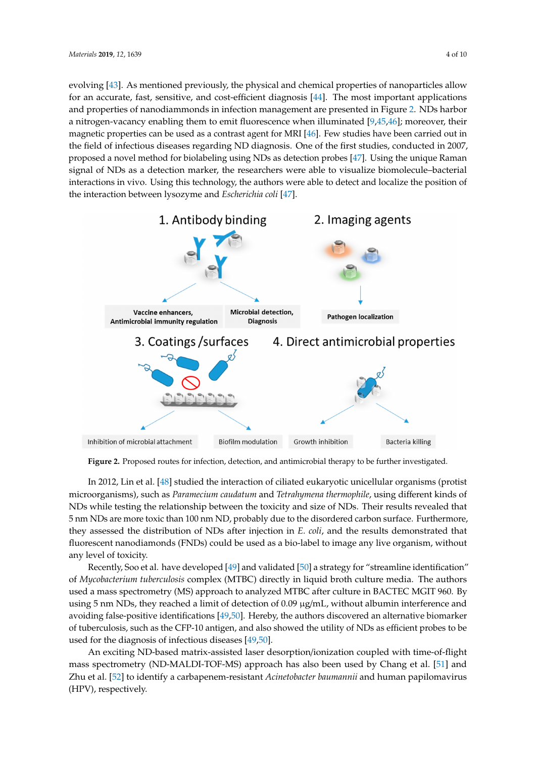evolving [\[43\]](#page-8-5). As mentioned previously, the physical and chemical properties of nanoparticles allow evolving [43]. As mentioned previously, the physical and chemical properties of nanoparticles for an accurate, fast, sensitive, and cost-efficient diagnosis  $[44]$ . The most important applications and properties of nanodiammonds in infection management are presented in Figure [2.](#page-3-0) NDs harbor a nitrogen-vacancy enabling them to emit fluorescence when illuminated [\[9,](#page-6-8)[45,](#page-8-7)[46\]](#page-8-8); moreover, their magnetic properties can be used as a contrast agent for MRI [\[46\]](#page-8-8). Few studies have been carried out in the field of infectious diseases regarding ND diagnosis. One of the first studies, conducted in 2007, proposed a novel method for biolabeling using NDs as detection probes [\[47\]](#page-8-9). Using the unique Raman incomposition.<br>
Signal of NDs as a detection marker, the researchers were able to visualize biomolecule–bacterial interactions in vivo. Using this technology, the authors were able to detect and localize the position of the interaction between lysozyme and *Escherichia coli* [\[47\]](#page-8-9).

<span id="page-3-0"></span>

Figure 2. Proposed routes for infection, detection, and antimicrobial therapy to be further investigated.

In 2012, Lin et al. [48] studied the interaction of ciliated eukaryotic unicellular organisms In 2012, Lin et al. [\[48\]](#page-8-10) studied the interaction of ciliated eukaryotic unicellular organisms (protist microorganisms), such as *Paramecium caudatum* and *Tetrahymena thermophile,* using different kinds of NDs while testing the relationship between the toxicity and size of NDs. Their results revealed that  $5$  nm NDs are more toxic than 100 nm ND, probably due to the disordered carbon surface. Furthermore,  $\,$ they assessed the distribution of NDs after injection in *E. coli*, and the results demonstrated that fluorescent nanodiamonds (FNDs) could be used as a bio-label to image any live organism, without any level of toxicity.

Recently, Soo et al. have developed [49] and validated [50] a strategy for "streamline Recently, Soo et al. have developed [\[49\]](#page-8-11) and validated [\[50\]](#page-8-12) a strategy for "streamline identification" of *Mycobacterium tuberculosis* complex (MTBC) directly in liquid broth culture media. The authors used a mass spectrometry (MS) approach to analyzed MTBC after culture in BACTEC MGIT 960. By using 5 nm NDs, they reached a limit of detection of 0.09  $\mu$ g/mL, without albumin interference and avoiding false-positive identifications [\[49](#page-8-11)[,50\]](#page-8-12). Hereby, the authors discovered an alternative biomarker of tuberculosis, such as the CFP-10 antigen, and also showed the utility of NDs as efficient probes to be used for the diagnosis of infectious diseases  $[49,50]$  $[49,50]$ .

An exciting ND-based matrix-assisted laser desorption/ionization coupled with time-of-flight An exciting ND-based matrix-assisted laser desorption/ionization coupled with time-of-flight mass spectrometry (ND-MALDI-TOF-MS) approach has also been used by Chang et al. [\[51\]](#page-8-13) and Zhu et al. [\[52\]](#page-8-14) to identify a carbapenem-resistant *Acinetobacter baumannii* and human papilomavirus (HPV), respectively.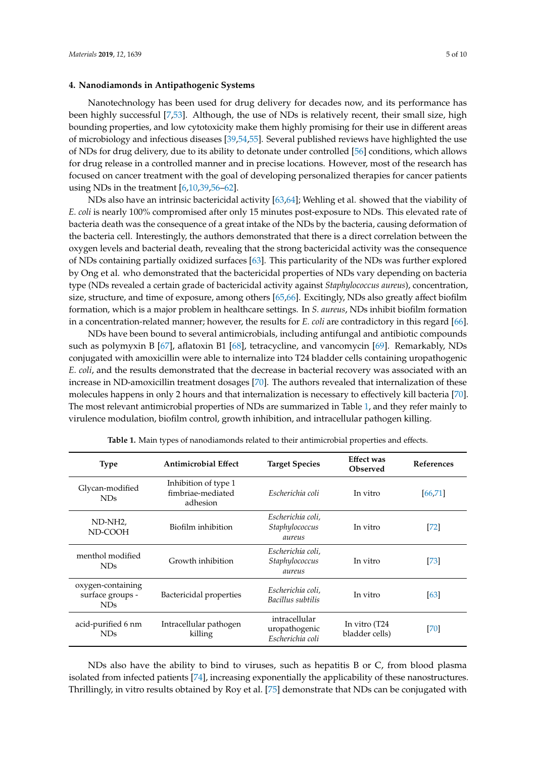#### **4. Nanodiamonds in Antipathogenic Systems**

Nanotechnology has been used for drug delivery for decades now, and its performance has been highly successful [\[7,](#page-6-6)[53\]](#page-8-15). Although, the use of NDs is relatively recent, their small size, high bounding properties, and low cytotoxicity make them highly promising for their use in different areas of microbiology and infectious diseases [\[39,](#page-8-1)[54,](#page-8-16)[55\]](#page-8-17). Several published reviews have highlighted the use of NDs for drug delivery, due to its ability to detonate under controlled [\[56\]](#page-8-18) conditions, which allows for drug release in a controlled manner and in precise locations. However, most of the research has focused on cancer treatment with the goal of developing personalized therapies for cancer patients using NDs in the treatment [\[6,](#page-6-5)[10,](#page-6-9)[39,](#page-8-1)[56](#page-8-18)[–62\]](#page-9-0).

NDs also have an intrinsic bactericidal activity [\[63,](#page-9-1)[64\]](#page-9-2); Wehling et al. showed that the viability of *E. coli* is nearly 100% compromised after only 15 minutes post-exposure to NDs. This elevated rate of bacteria death was the consequence of a great intake of the NDs by the bacteria, causing deformation of the bacteria cell. Interestingly, the authors demonstrated that there is a direct correlation between the oxygen levels and bacterial death, revealing that the strong bactericidal activity was the consequence of NDs containing partially oxidized surfaces [\[63\]](#page-9-1). This particularity of the NDs was further explored by Ong et al. who demonstrated that the bactericidal properties of NDs vary depending on bacteria type (NDs revealed a certain grade of bactericidal activity against *Staphylococcus aureus*), concentration, size, structure, and time of exposure, among others [\[65](#page-9-3)[,66\]](#page-9-4). Excitingly, NDs also greatly affect biofilm formation, which is a major problem in healthcare settings. In *S. aureus*, NDs inhibit biofilm formation in a concentration-related manner; however, the results for *E. coli* are contradictory in this regard [\[66\]](#page-9-4).

NDs have been bound to several antimicrobials, including antifungal and antibiotic compounds such as polymyxin B [\[67\]](#page-9-5), aflatoxin B1 [\[68\]](#page-9-6), tetracycline, and vancomycin [\[69\]](#page-9-7). Remarkably, NDs conjugated with amoxicillin were able to internalize into T24 bladder cells containing uropathogenic *E. coli*, and the results demonstrated that the decrease in bacterial recovery was associated with an increase in ND-amoxicillin treatment dosages [\[70\]](#page-9-8). The authors revealed that internalization of these molecules happens in only 2 hours and that internalization is necessary to effectively kill bacteria [\[70\]](#page-9-8). The most relevant antimicrobial properties of NDs are summarized in Table [1,](#page-4-0) and they refer mainly to virulence modulation, biofilm control, growth inhibition, and intracellular pathogen killing.

<span id="page-4-0"></span>

| <b>Type</b>                                              | <b>Antimicrobial Effect</b>                           | <b>Target Species</b>                              | <b>Effect was</b><br>Observed   | <b>References</b> |
|----------------------------------------------------------|-------------------------------------------------------|----------------------------------------------------|---------------------------------|-------------------|
| Glycan-modified<br>ND <sub>s</sub>                       | Inhibition of type 1<br>fimbriae-mediated<br>adhesion | Escherichia coli                                   | In vitro                        | [66, 71]          |
| ND-NH <sub>2</sub><br>ND-COOH                            | Biofilm inhibition                                    | Escherichia coli,<br>Staphylococcus<br>aureus      | In vitro                        | $[72]$            |
| menthol modified<br>ND <sub>s</sub>                      | Growth inhibition                                     | Escherichia coli,<br>Staphylococcus<br>aureus      | In vitro                        | $[73]$            |
| oxygen-containing<br>surface groups -<br>ND <sub>s</sub> | Bactericidal properties                               | Escherichia coli,<br>Bacillus subtilis             | In vitro                        | [63]              |
| acid-purified 6 nm<br>ND <sub>s</sub>                    | Intracellular pathogen<br>killing                     | intracellular<br>uropathogenic<br>Escherichia coli | In vitro (T24<br>bladder cells) | [70]              |

**Table 1.** Main types of nanodiamonds related to their antimicrobial properties and effects.

NDs also have the ability to bind to viruses, such as hepatitis B or C, from blood plasma isolated from infected patients [\[74\]](#page-9-12), increasing exponentially the applicability of these nanostructures. Thrillingly, in vitro results obtained by Roy et al. [\[75\]](#page-9-13) demonstrate that NDs can be conjugated with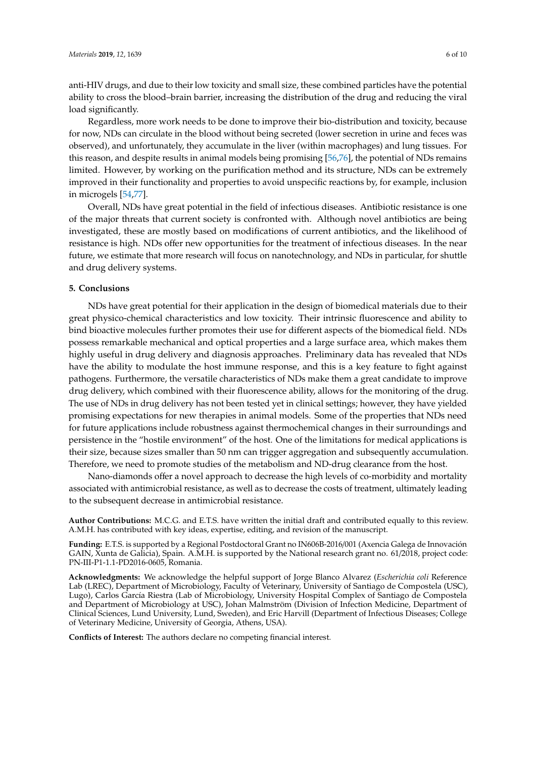anti-HIV drugs, and due to their low toxicity and small size, these combined particles have the potential ability to cross the blood–brain barrier, increasing the distribution of the drug and reducing the viral load significantly.

Regardless, more work needs to be done to improve their bio-distribution and toxicity, because for now, NDs can circulate in the blood without being secreted (lower secretion in urine and feces was observed), and unfortunately, they accumulate in the liver (within macrophages) and lung tissues. For this reason, and despite results in animal models being promising [\[56,](#page-8-18)[76\]](#page-9-14), the potential of NDs remains limited. However, by working on the purification method and its structure, NDs can be extremely improved in their functionality and properties to avoid unspecific reactions by, for example, inclusion in microgels [\[54,](#page-8-16)[77\]](#page-9-15).

Overall, NDs have great potential in the field of infectious diseases. Antibiotic resistance is one of the major threats that current society is confronted with. Although novel antibiotics are being investigated, these are mostly based on modifications of current antibiotics, and the likelihood of resistance is high. NDs offer new opportunities for the treatment of infectious diseases. In the near future, we estimate that more research will focus on nanotechnology, and NDs in particular, for shuttle and drug delivery systems.

#### **5. Conclusions**

NDs have great potential for their application in the design of biomedical materials due to their great physico-chemical characteristics and low toxicity. Their intrinsic fluorescence and ability to bind bioactive molecules further promotes their use for different aspects of the biomedical field. NDs possess remarkable mechanical and optical properties and a large surface area, which makes them highly useful in drug delivery and diagnosis approaches. Preliminary data has revealed that NDs have the ability to modulate the host immune response, and this is a key feature to fight against pathogens. Furthermore, the versatile characteristics of NDs make them a great candidate to improve drug delivery, which combined with their fluorescence ability, allows for the monitoring of the drug. The use of NDs in drug delivery has not been tested yet in clinical settings; however, they have yielded promising expectations for new therapies in animal models. Some of the properties that NDs need for future applications include robustness against thermochemical changes in their surroundings and persistence in the "hostile environment" of the host. One of the limitations for medical applications is their size, because sizes smaller than 50 nm can trigger aggregation and subsequently accumulation. Therefore, we need to promote studies of the metabolism and ND-drug clearance from the host.

Nano-diamonds offer a novel approach to decrease the high levels of co-morbidity and mortality associated with antimicrobial resistance, as well as to decrease the costs of treatment, ultimately leading to the subsequent decrease in antimicrobial resistance.

**Author Contributions:** M.C.G. and E.T.S. have written the initial draft and contributed equally to this review. A.M.H. has contributed with key ideas, expertise, editing, and revision of the manuscript.

**Funding:** E.T.S. is supported by a Regional Postdoctoral Grant no IN606B-2016/001 (Axencia Galega de Innovación GAIN, Xunta de Galicia), Spain. A.M.H. is supported by the National research grant no. 61/2018, project code: PN-III-P1-1.1-PD2016-0605, Romania.

**Acknowledgments:** We acknowledge the helpful support of Jorge Blanco Alvarez (*Escherichia coli* Reference Lab (LREC), Department of Microbiology, Faculty of Veterinary, University of Santiago de Compostela (USC), Lugo), Carlos García Riestra (Lab of Microbiology, University Hospital Complex of Santiago de Compostela and Department of Microbiology at USC), Johan Malmström (Division of Infection Medicine, Department of Clinical Sciences, Lund University, Lund, Sweden), and Eric Harvill (Department of Infectious Diseases; College of Veterinary Medicine, University of Georgia, Athens, USA).

**Conflicts of Interest:** The authors declare no competing financial interest.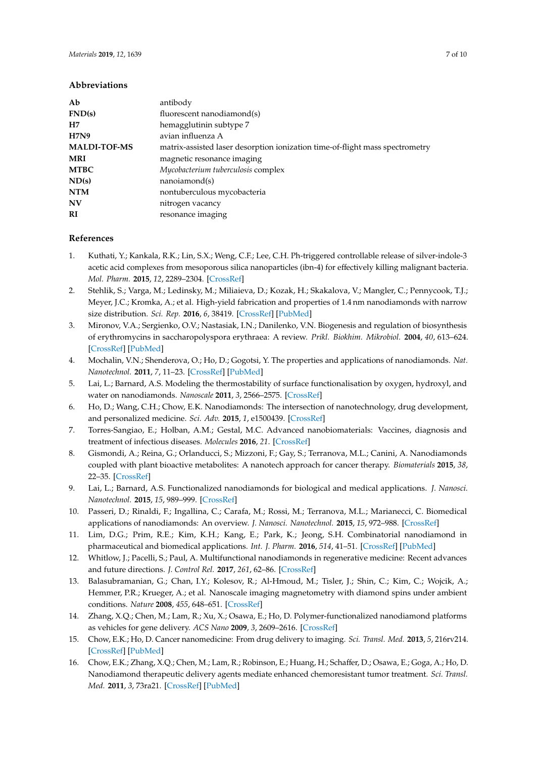# **Abbreviations**

| Ab                  | antibody                                                                     |  |
|---------------------|------------------------------------------------------------------------------|--|
| FND(s)              | fluorescent nanodiamond(s)                                                   |  |
| H7                  | hemagglutinin subtype 7                                                      |  |
| H7N9                | avian influenza A                                                            |  |
| <b>MALDI-TOF-MS</b> | matrix-assisted laser desorption ionization time-of-flight mass spectrometry |  |
| MRI                 | magnetic resonance imaging                                                   |  |
| <b>MTBC</b>         | Mycobacterium tuberculosis complex                                           |  |
| ND(s)               | nanoiamond(s)                                                                |  |
| NTM                 | nontuberculous mycobacteria                                                  |  |
| N <sub>V</sub>      | nitrogen vacancy                                                             |  |
| <b>RI</b>           | resonance imaging                                                            |  |

# **References**

- <span id="page-6-0"></span>1. Kuthati, Y.; Kankala, R.K.; Lin, S.X.; Weng, C.F.; Lee, C.H. Ph-triggered controllable release of silver-indole-3 acetic acid complexes from mesoporous silica nanoparticles (ibn-4) for effectively killing malignant bacteria. *Mol. Pharm.* **2015**, *12*, 2289–2304. [\[CrossRef\]](http://dx.doi.org/10.1021/mp500836w)
- <span id="page-6-1"></span>2. Stehlik, S.; Varga, M.; Ledinsky, M.; Miliaieva, D.; Kozak, H.; Skakalova, V.; Mangler, C.; Pennycook, T.J.; Meyer, J.C.; Kromka, A.; et al. High-yield fabrication and properties of 1.4 nm nanodiamonds with narrow size distribution. *Sci. Rep.* **2016**, *6*, 38419. [\[CrossRef\]](http://dx.doi.org/10.1038/srep38419) [\[PubMed\]](http://www.ncbi.nlm.nih.gov/pubmed/27910924)
- <span id="page-6-2"></span>3. Mironov, V.A.; Sergienko, O.V.; Nastasiak, I.N.; Danilenko, V.N. Biogenesis and regulation of biosynthesis of erythromycins in saccharopolyspora erythraea: A review. *Prikl. Biokhim. Mikrobiol.* **2004**, *40*, 613–624. [\[CrossRef\]](http://dx.doi.org/10.1023/B:ABIM.0000046985.66328.7a) [\[PubMed\]](http://www.ncbi.nlm.nih.gov/pubmed/15609849)
- <span id="page-6-3"></span>4. Mochalin, V.N.; Shenderova, O.; Ho, D.; Gogotsi, Y. The properties and applications of nanodiamonds. *Nat. Nanotechnol.* **2011**, *7*, 11–23. [\[CrossRef\]](http://dx.doi.org/10.1038/nnano.2011.209) [\[PubMed\]](http://www.ncbi.nlm.nih.gov/pubmed/22179567)
- <span id="page-6-4"></span>5. Lai, L.; Barnard, A.S. Modeling the thermostability of surface functionalisation by oxygen, hydroxyl, and water on nanodiamonds. *Nanoscale* **2011**, *3*, 2566–2575. [\[CrossRef\]](http://dx.doi.org/10.1039/c1nr10108k)
- <span id="page-6-5"></span>6. Ho, D.; Wang, C.H.; Chow, E.K. Nanodiamonds: The intersection of nanotechnology, drug development, and personalized medicine. *Sci. Adv.* **2015**, *1*, e1500439. [\[CrossRef\]](http://dx.doi.org/10.1126/sciadv.1500439)
- <span id="page-6-6"></span>7. Torres-Sangiao, E.; Holban, A.M.; Gestal, M.C. Advanced nanobiomaterials: Vaccines, diagnosis and treatment of infectious diseases. *Molecules* **2016**, *21*. [\[CrossRef\]](http://dx.doi.org/10.3390/molecules21070867)
- <span id="page-6-7"></span>8. Gismondi, A.; Reina, G.; Orlanducci, S.; Mizzoni, F.; Gay, S.; Terranova, M.L.; Canini, A. Nanodiamonds coupled with plant bioactive metabolites: A nanotech approach for cancer therapy. *Biomaterials* **2015**, *38*, 22–35. [\[CrossRef\]](http://dx.doi.org/10.1016/j.biomaterials.2014.10.057)
- <span id="page-6-8"></span>9. Lai, L.; Barnard, A.S. Functionalized nanodiamonds for biological and medical applications. *J. Nanosci. Nanotechnol.* **2015**, *15*, 989–999. [\[CrossRef\]](http://dx.doi.org/10.1166/jnn.2015.9735)
- <span id="page-6-9"></span>10. Passeri, D.; Rinaldi, F.; Ingallina, C.; Carafa, M.; Rossi, M.; Terranova, M.L.; Marianecci, C. Biomedical applications of nanodiamonds: An overview. *J. Nanosci. Nanotechnol.* **2015**, *15*, 972–988. [\[CrossRef\]](http://dx.doi.org/10.1166/jnn.2015.9734)
- <span id="page-6-10"></span>11. Lim, D.G.; Prim, R.E.; Kim, K.H.; Kang, E.; Park, K.; Jeong, S.H. Combinatorial nanodiamond in pharmaceutical and biomedical applications. *Int. J. Pharm.* **2016**, *514*, 41–51. [\[CrossRef\]](http://dx.doi.org/10.1016/j.ijpharm.2016.06.004) [\[PubMed\]](http://www.ncbi.nlm.nih.gov/pubmed/27863681)
- <span id="page-6-11"></span>12. Whitlow, J.; Pacelli, S.; Paul, A. Multifunctional nanodiamonds in regenerative medicine: Recent advances and future directions. *J. Control Rel.* **2017**, *261*, 62–86. [\[CrossRef\]](http://dx.doi.org/10.1016/j.jconrel.2017.05.033)
- <span id="page-6-12"></span>13. Balasubramanian, G.; Chan, I.Y.; Kolesov, R.; Al-Hmoud, M.; Tisler, J.; Shin, C.; Kim, C.; Wojcik, A.; Hemmer, P.R.; Krueger, A.; et al. Nanoscale imaging magnetometry with diamond spins under ambient conditions. *Nature* **2008**, *455*, 648–651. [\[CrossRef\]](http://dx.doi.org/10.1038/nature07278)
- 14. Zhang, X.Q.; Chen, M.; Lam, R.; Xu, X.; Osawa, E.; Ho, D. Polymer-functionalized nanodiamond platforms as vehicles for gene delivery. *ACS Nano* **2009**, *3*, 2609–2616. [\[CrossRef\]](http://dx.doi.org/10.1021/nn900865g)
- 15. Chow, E.K.; Ho, D. Cancer nanomedicine: From drug delivery to imaging. *Sci. Transl. Med.* **2013**, *5*, 216rv214. [\[CrossRef\]](http://dx.doi.org/10.1126/scitranslmed.3005872) [\[PubMed\]](http://www.ncbi.nlm.nih.gov/pubmed/24353161)
- <span id="page-6-13"></span>16. Chow, E.K.; Zhang, X.Q.; Chen, M.; Lam, R.; Robinson, E.; Huang, H.; Schaffer, D.; Osawa, E.; Goga, A.; Ho, D. Nanodiamond therapeutic delivery agents mediate enhanced chemoresistant tumor treatment. *Sci. Transl. Med.* **2011**, *3*, 73ra21. [\[CrossRef\]](http://dx.doi.org/10.1126/scitranslmed.3001713) [\[PubMed\]](http://www.ncbi.nlm.nih.gov/pubmed/21389265)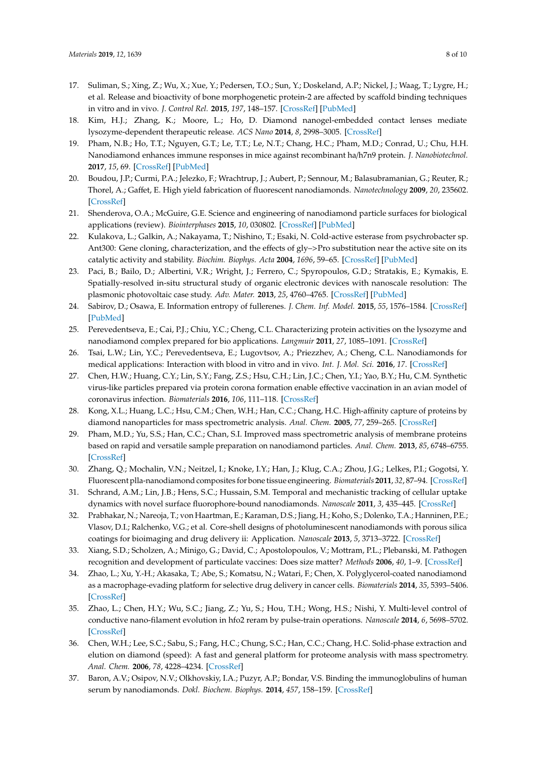- <span id="page-7-0"></span>17. Suliman, S.; Xing, Z.; Wu, X.; Xue, Y.; Pedersen, T.O.; Sun, Y.; Doskeland, A.P.; Nickel, J.; Waag, T.; Lygre, H.; et al. Release and bioactivity of bone morphogenetic protein-2 are affected by scaffold binding techniques in vitro and in vivo. *J. Control Rel.* **2015**, *197*, 148–157. [\[CrossRef\]](http://dx.doi.org/10.1016/j.jconrel.2014.11.003) [\[PubMed\]](http://www.ncbi.nlm.nih.gov/pubmed/25445698)
- <span id="page-7-1"></span>18. Kim, H.J.; Zhang, K.; Moore, L.; Ho, D. Diamond nanogel-embedded contact lenses mediate lysozyme-dependent therapeutic release. *ACS Nano* **2014**, *8*, 2998–3005. [\[CrossRef\]](http://dx.doi.org/10.1021/nn5002968)
- <span id="page-7-2"></span>19. Pham, N.B.; Ho, T.T.; Nguyen, G.T.; Le, T.T.; Le, N.T.; Chang, H.C.; Pham, M.D.; Conrad, U.; Chu, H.H. Nanodiamond enhances immune responses in mice against recombinant ha/h7n9 protein. *J. Nanobiotechnol.* **2017**, *15*, 69. [\[CrossRef\]](http://dx.doi.org/10.1186/s12951-017-0305-2) [\[PubMed\]](http://www.ncbi.nlm.nih.gov/pubmed/28982373)
- <span id="page-7-3"></span>20. Boudou, J.P.; Curmi, P.A.; Jelezko, F.; Wrachtrup, J.; Aubert, P.; Sennour, M.; Balasubramanian, G.; Reuter, R.; Thorel, A.; Gaffet, E. High yield fabrication of fluorescent nanodiamonds. *Nanotechnology* **2009**, *20*, 235602. [\[CrossRef\]](http://dx.doi.org/10.1088/0957-4484/20/23/235602)
- <span id="page-7-4"></span>21. Shenderova, O.A.; McGuire, G.E. Science and engineering of nanodiamond particle surfaces for biological applications (review). *Biointerphases* **2015**, *10*, 030802. [\[CrossRef\]](http://dx.doi.org/10.1116/1.4927679) [\[PubMed\]](http://www.ncbi.nlm.nih.gov/pubmed/26245200)
- 22. Kulakova, L.; Galkin, A.; Nakayama, T.; Nishino, T.; Esaki, N. Cold-active esterase from psychrobacter sp. Ant300: Gene cloning, characterization, and the effects of gly–>Pro substitution near the active site on its catalytic activity and stability. *Biochim. Biophys. Acta* **2004**, *1696*, 59–65. [\[CrossRef\]](http://dx.doi.org/10.1016/j.bbapap.2003.09.008) [\[PubMed\]](http://www.ncbi.nlm.nih.gov/pubmed/14726205)
- 23. Paci, B.; Bailo, D.; Albertini, V.R.; Wright, J.; Ferrero, C.; Spyropoulos, G.D.; Stratakis, E.; Kymakis, E. Spatially-resolved in-situ structural study of organic electronic devices with nanoscale resolution: The plasmonic photovoltaic case study. *Adv. Mater.* **2013**, *25*, 4760–4765. [\[CrossRef\]](http://dx.doi.org/10.1002/adma.201301682) [\[PubMed\]](http://www.ncbi.nlm.nih.gov/pubmed/23893424)
- <span id="page-7-5"></span>24. Sabirov, D.; Osawa, E. Information entropy of fullerenes. *J. Chem. Inf. Model.* **2015**, *55*, 1576–1584. [\[CrossRef\]](http://dx.doi.org/10.1021/acs.jcim.5b00334) [\[PubMed\]](http://www.ncbi.nlm.nih.gov/pubmed/26158238)
- <span id="page-7-6"></span>25. Perevedentseva, E.; Cai, P.J.; Chiu, Y.C.; Cheng, C.L. Characterizing protein activities on the lysozyme and nanodiamond complex prepared for bio applications. *Langmuir* **2011**, *27*, 1085–1091. [\[CrossRef\]](http://dx.doi.org/10.1021/la103155c)
- <span id="page-7-7"></span>26. Tsai, L.W.; Lin, Y.C.; Perevedentseva, E.; Lugovtsov, A.; Priezzhev, A.; Cheng, C.L. Nanodiamonds for medical applications: Interaction with blood in vitro and in vivo. *Int. J. Mol. Sci.* **2016**, *17*. [\[CrossRef\]](http://dx.doi.org/10.3390/ijms17071111)
- <span id="page-7-8"></span>27. Chen, H.W.; Huang, C.Y.; Lin, S.Y.; Fang, Z.S.; Hsu, C.H.; Lin, J.C.; Chen, Y.I.; Yao, B.Y.; Hu, C.M. Synthetic virus-like particles prepared via protein corona formation enable effective vaccination in an avian model of coronavirus infection. *Biomaterials* **2016**, *106*, 111–118. [\[CrossRef\]](http://dx.doi.org/10.1016/j.biomaterials.2016.08.018)
- <span id="page-7-9"></span>28. Kong, X.L.; Huang, L.C.; Hsu, C.M.; Chen, W.H.; Han, C.C.; Chang, H.C. High-affinity capture of proteins by diamond nanoparticles for mass spectrometric analysis. *Anal. Chem.* **2005**, *77*, 259–265. [\[CrossRef\]](http://dx.doi.org/10.1021/ac048971a)
- <span id="page-7-10"></span>29. Pham, M.D.; Yu, S.S.; Han, C.C.; Chan, S.I. Improved mass spectrometric analysis of membrane proteins based on rapid and versatile sample preparation on nanodiamond particles. *Anal. Chem.* **2013**, *85*, 6748–6755. [\[CrossRef\]](http://dx.doi.org/10.1021/ac400713g)
- <span id="page-7-11"></span>30. Zhang, Q.; Mochalin, V.N.; Neitzel, I.; Knoke, I.Y.; Han, J.; Klug, C.A.; Zhou, J.G.; Lelkes, P.I.; Gogotsi, Y. Fluorescent plla-nanodiamond composites for bone tissue engineering. *Biomaterials* **2011**, *32*, 87–94. [\[CrossRef\]](http://dx.doi.org/10.1016/j.biomaterials.2010.08.090)
- <span id="page-7-12"></span>31. Schrand, A.M.; Lin, J.B.; Hens, S.C.; Hussain, S.M. Temporal and mechanistic tracking of cellular uptake dynamics with novel surface fluorophore-bound nanodiamonds. *Nanoscale* **2011**, *3*, 435–445. [\[CrossRef\]](http://dx.doi.org/10.1039/C0NR00408A)
- <span id="page-7-13"></span>32. Prabhakar, N.; Nareoja, T.; von Haartman, E.; Karaman, D.S.; Jiang, H.; Koho, S.; Dolenko, T.A.; Hanninen, P.E.; Vlasov, D.I.; Ralchenko, V.G.; et al. Core-shell designs of photoluminescent nanodiamonds with porous silica coatings for bioimaging and drug delivery ii: Application. *Nanoscale* **2013**, *5*, 3713–3722. [\[CrossRef\]](http://dx.doi.org/10.1039/c3nr33926b)
- <span id="page-7-14"></span>33. Xiang, S.D.; Scholzen, A.; Minigo, G.; David, C.; Apostolopoulos, V.; Mottram, P.L.; Plebanski, M. Pathogen recognition and development of particulate vaccines: Does size matter? *Methods* **2006**, *40*, 1–9. [\[CrossRef\]](http://dx.doi.org/10.1016/j.ymeth.2006.05.016)
- <span id="page-7-15"></span>34. Zhao, L.; Xu, Y.-H.; Akasaka, T.; Abe, S.; Komatsu, N.; Watari, F.; Chen, X. Polyglycerol-coated nanodiamond as a macrophage-evading platform for selective drug delivery in cancer cells. *Biomaterials* **2014**, *35*, 5393–5406. [\[CrossRef\]](http://dx.doi.org/10.1016/j.biomaterials.2014.03.041)
- <span id="page-7-16"></span>35. Zhao, L.; Chen, H.Y.; Wu, S.C.; Jiang, Z.; Yu, S.; Hou, T.H.; Wong, H.S.; Nishi, Y. Multi-level control of conductive nano-filament evolution in hfo2 reram by pulse-train operations. *Nanoscale* **2014**, *6*, 5698–5702. [\[CrossRef\]](http://dx.doi.org/10.1039/C4NR00500G)
- <span id="page-7-17"></span>36. Chen, W.H.; Lee, S.C.; Sabu, S.; Fang, H.C.; Chung, S.C.; Han, C.C.; Chang, H.C. Solid-phase extraction and elution on diamond (speed): A fast and general platform for proteome analysis with mass spectrometry. *Anal. Chem.* **2006**, *78*, 4228–4234. [\[CrossRef\]](http://dx.doi.org/10.1021/ac052085y)
- <span id="page-7-18"></span>37. Baron, A.V.; Osipov, N.V.; Olkhovskiy, I.A.; Puzyr, A.P.; Bondar, V.S. Binding the immunoglobulins of human serum by nanodiamonds. *Dokl. Biochem. Biophys.* **2014**, *457*, 158–159. [\[CrossRef\]](http://dx.doi.org/10.1134/S1607672914040127)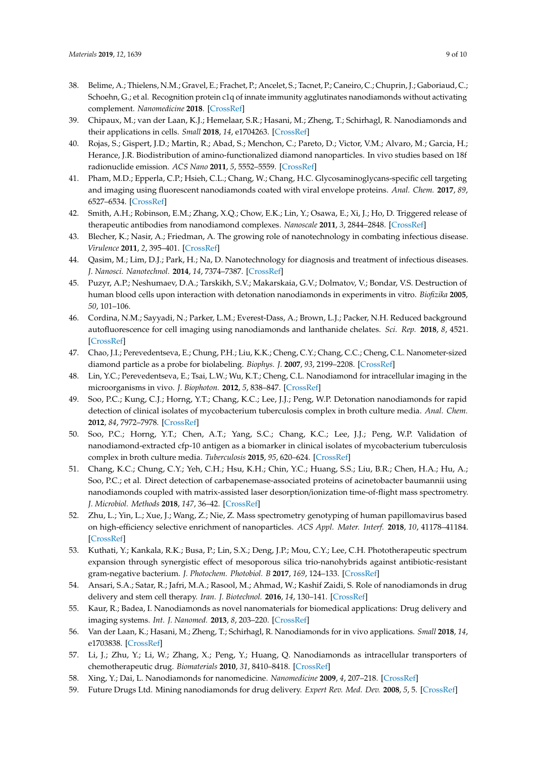- <span id="page-8-0"></span>38. Belime, A.; Thielens, N.M.; Gravel, E.; Frachet, P.; Ancelet, S.; Tacnet, P.; Caneiro, C.; Chuprin, J.; Gaboriaud, C.; Schoehn, G.; et al. Recognition protein c1q of innate immunity agglutinates nanodiamonds without activating complement. *Nanomedicine* **2018**. [\[CrossRef\]](http://dx.doi.org/10.1016/j.nano.2018.09.009)
- <span id="page-8-1"></span>39. Chipaux, M.; van der Laan, K.J.; Hemelaar, S.R.; Hasani, M.; Zheng, T.; Schirhagl, R. Nanodiamonds and their applications in cells. *Small* **2018**, *14*, e1704263. [\[CrossRef\]](http://dx.doi.org/10.1002/smll.201704263)
- <span id="page-8-2"></span>40. Rojas, S.; Gispert, J.D.; Martin, R.; Abad, S.; Menchon, C.; Pareto, D.; Victor, V.M.; Alvaro, M.; Garcia, H.; Herance, J.R. Biodistribution of amino-functionalized diamond nanoparticles. In vivo studies based on 18f radionuclide emission. *ACS Nano* **2011**, *5*, 5552–5559. [\[CrossRef\]](http://dx.doi.org/10.1021/nn200986z)
- <span id="page-8-3"></span>41. Pham, M.D.; Epperla, C.P.; Hsieh, C.L.; Chang, W.; Chang, H.C. Glycosaminoglycans-specific cell targeting and imaging using fluorescent nanodiamonds coated with viral envelope proteins. *Anal. Chem.* **2017**, *89*, 6527–6534. [\[CrossRef\]](http://dx.doi.org/10.1021/acs.analchem.7b00627)
- <span id="page-8-4"></span>42. Smith, A.H.; Robinson, E.M.; Zhang, X.Q.; Chow, E.K.; Lin, Y.; Osawa, E.; Xi, J.; Ho, D. Triggered release of therapeutic antibodies from nanodiamond complexes. *Nanoscale* **2011**, *3*, 2844–2848. [\[CrossRef\]](http://dx.doi.org/10.1039/c1nr10278h)
- <span id="page-8-5"></span>43. Blecher, K.; Nasir, A.; Friedman, A. The growing role of nanotechnology in combating infectious disease. *Virulence* **2011**, *2*, 395–401. [\[CrossRef\]](http://dx.doi.org/10.4161/viru.2.5.17035)
- <span id="page-8-6"></span>44. Qasim, M.; Lim, D.J.; Park, H.; Na, D. Nanotechnology for diagnosis and treatment of infectious diseases. *J. Nanosci. Nanotechnol.* **2014**, *14*, 7374–7387. [\[CrossRef\]](http://dx.doi.org/10.1166/jnn.2014.9578)
- <span id="page-8-7"></span>45. Puzyr, A.P.; Neshumaev, D.A.; Tarskikh, S.V.; Makarskaia, G.V.; Dolmatov, V.; Bondar, V.S. Destruction of human blood cells upon interaction with detonation nanodiamonds in experiments in vitro. *Biofizika* **2005**, *50*, 101–106.
- <span id="page-8-8"></span>46. Cordina, N.M.; Sayyadi, N.; Parker, L.M.; Everest-Dass, A.; Brown, L.J.; Packer, N.H. Reduced background autofluorescence for cell imaging using nanodiamonds and lanthanide chelates. *Sci. Rep.* **2018**, *8*, 4521. [\[CrossRef\]](http://dx.doi.org/10.1038/s41598-018-22702-1)
- <span id="page-8-9"></span>47. Chao, J.I.; Perevedentseva, E.; Chung, P.H.; Liu, K.K.; Cheng, C.Y.; Chang, C.C.; Cheng, C.L. Nanometer-sized diamond particle as a probe for biolabeling. *Biophys. J.* **2007**, *93*, 2199–2208. [\[CrossRef\]](http://dx.doi.org/10.1529/biophysj.107.108134)
- <span id="page-8-10"></span>48. Lin, Y.C.; Perevedentseva, E.; Tsai, L.W.; Wu, K.T.; Cheng, C.L. Nanodiamond for intracellular imaging in the microorganisms in vivo. *J. Biophoton.* **2012**, *5*, 838–847. [\[CrossRef\]](http://dx.doi.org/10.1002/jbio.201200088)
- <span id="page-8-11"></span>49. Soo, P.C.; Kung, C.J.; Horng, Y.T.; Chang, K.C.; Lee, J.J.; Peng, W.P. Detonation nanodiamonds for rapid detection of clinical isolates of mycobacterium tuberculosis complex in broth culture media. *Anal. Chem.* **2012**, *84*, 7972–7978. [\[CrossRef\]](http://dx.doi.org/10.1021/ac301767z)
- <span id="page-8-12"></span>50. Soo, P.C.; Horng, Y.T.; Chen, A.T.; Yang, S.C.; Chang, K.C.; Lee, J.J.; Peng, W.P. Validation of nanodiamond-extracted cfp-10 antigen as a biomarker in clinical isolates of mycobacterium tuberculosis complex in broth culture media. *Tuberculosis* **2015**, *95*, 620–624. [\[CrossRef\]](http://dx.doi.org/10.1016/j.tube.2015.05.008)
- <span id="page-8-13"></span>51. Chang, K.C.; Chung, C.Y.; Yeh, C.H.; Hsu, K.H.; Chin, Y.C.; Huang, S.S.; Liu, B.R.; Chen, H.A.; Hu, A.; Soo, P.C.; et al. Direct detection of carbapenemase-associated proteins of acinetobacter baumannii using nanodiamonds coupled with matrix-assisted laser desorption/ionization time-of-flight mass spectrometry. *J. Microbiol. Methods* **2018**, *147*, 36–42. [\[CrossRef\]](http://dx.doi.org/10.1016/j.mimet.2018.02.014)
- <span id="page-8-14"></span>52. Zhu, L.; Yin, L.; Xue, J.; Wang, Z.; Nie, Z. Mass spectrometry genotyping of human papillomavirus based on high-efficiency selective enrichment of nanoparticles. *ACS Appl. Mater. Interf.* **2018**, *10*, 41178–41184. [\[CrossRef\]](http://dx.doi.org/10.1021/acsami.8b16694)
- <span id="page-8-15"></span>53. Kuthati, Y.; Kankala, R.K.; Busa, P.; Lin, S.X.; Deng, J.P.; Mou, C.Y.; Lee, C.H. Phototherapeutic spectrum expansion through synergistic effect of mesoporous silica trio-nanohybrids against antibiotic-resistant gram-negative bacterium. *J. Photochem. Photobiol. B* **2017**, *169*, 124–133. [\[CrossRef\]](http://dx.doi.org/10.1016/j.jphotobiol.2017.03.003)
- <span id="page-8-16"></span>54. Ansari, S.A.; Satar, R.; Jafri, M.A.; Rasool, M.; Ahmad, W.; Kashif Zaidi, S. Role of nanodiamonds in drug delivery and stem cell therapy. *Iran. J. Biotechnol.* **2016**, *14*, 130–141. [\[CrossRef\]](http://dx.doi.org/10.15171/ijb.1320)
- <span id="page-8-17"></span>55. Kaur, R.; Badea, I. Nanodiamonds as novel nanomaterials for biomedical applications: Drug delivery and imaging systems. *Int. J. Nanomed.* **2013**, *8*, 203–220. [\[CrossRef\]](http://dx.doi.org/10.2147/IJN.S37348)
- <span id="page-8-18"></span>56. Van der Laan, K.; Hasani, M.; Zheng, T.; Schirhagl, R. Nanodiamonds for in vivo applications. *Small* **2018**, *14*, e1703838. [\[CrossRef\]](http://dx.doi.org/10.1002/smll.201703838)
- 57. Li, J.; Zhu, Y.; Li, W.; Zhang, X.; Peng, Y.; Huang, Q. Nanodiamonds as intracellular transporters of chemotherapeutic drug. *Biomaterials* **2010**, *31*, 8410–8418. [\[CrossRef\]](http://dx.doi.org/10.1016/j.biomaterials.2010.07.058)
- 58. Xing, Y.; Dai, L. Nanodiamonds for nanomedicine. *Nanomedicine* **2009**, *4*, 207–218. [\[CrossRef\]](http://dx.doi.org/10.2217/17435889.4.2.207)
- 59. Future Drugs Ltd. Mining nanodiamonds for drug delivery. *Expert Rev. Med. Dev.* **2008**, *5*, 5. [\[CrossRef\]](http://dx.doi.org/10.1586/17434440.5.1.5)